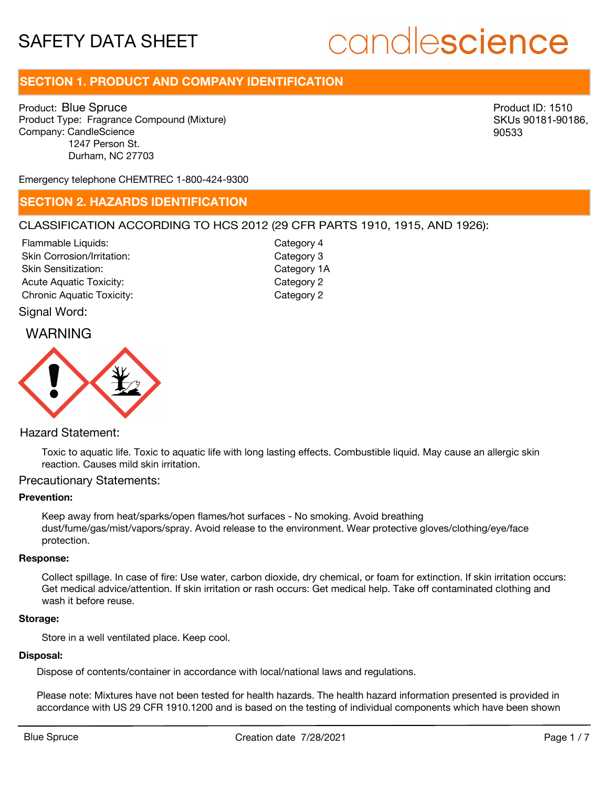# candlescience

# **SECTION 1. PRODUCT AND COMPANY IDENTIFICATION**

Product: Blue Spruce Product Type: Fragrance Compound (Mixture) Company: CandleScience 1247 Person St. Durham, NC 27703

Product ID: 1510 SKUs 90181-90186, 90533

Emergency telephone CHEMTREC 1-800-424-9300

# **SECTION 2. HAZARDS IDENTIFICATION**

# CLASSIFICATION ACCORDING TO HCS 2012 (29 CFR PARTS 1910, 1915, AND 1926):

Skin Corrosion/Irritation: Skin Sensitization: Acute Aquatic Toxicity: Category 2 Chronic Aquatic Toxicity: Chronic Aquatic Toxicity: Flammable Liquids:

Category 3 Category 1A Category 4

# WARNING

Signal Word:



# Hazard Statement:

Toxic to aquatic life. Toxic to aquatic life with long lasting effects. Combustible liquid. May cause an allergic skin reaction. Causes mild skin irritation.

# Precautionary Statements:

## **Prevention:**

Keep away from heat/sparks/open flames/hot surfaces - No smoking. Avoid breathing dust/fume/gas/mist/vapors/spray. Avoid release to the environment. Wear protective gloves/clothing/eye/face protection.

#### **Response:**

Collect spillage. In case of fire: Use water, carbon dioxide, dry chemical, or foam for extinction. If skin irritation occurs: Get medical advice/attention. If skin irritation or rash occurs: Get medical help. Take off contaminated clothing and wash it before reuse.

#### **Storage:**

Store in a well ventilated place. Keep cool.

# **Disposal:**

Dispose of contents/container in accordance with local/national laws and regulations.

Please note: Mixtures have not been tested for health hazards. The health hazard information presented is provided in accordance with US 29 CFR 1910.1200 and is based on the testing of individual components which have been shown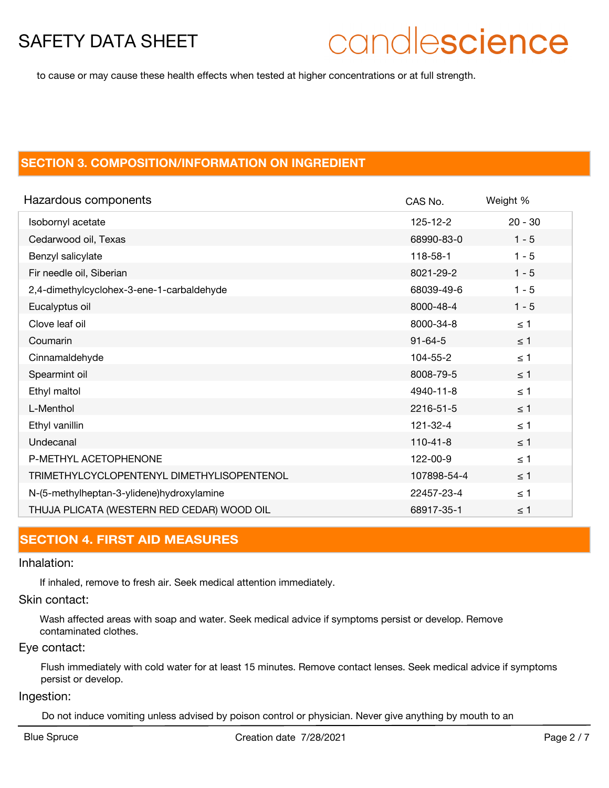# candlescience

to cause or may cause these health effects when tested at higher concentrations or at full strength.

# **SECTION 3. COMPOSITION/INFORMATION ON INGREDIENT**

| Hazardous components                       | CAS No.        | Weight %  |
|--------------------------------------------|----------------|-----------|
| Isobornyl acetate                          | $125 - 12 - 2$ | $20 - 30$ |
| Cedarwood oil, Texas                       | 68990-83-0     | $1 - 5$   |
| Benzyl salicylate                          | 118-58-1       | $1 - 5$   |
| Fir needle oil, Siberian                   | 8021-29-2      | $1 - 5$   |
| 2,4-dimethylcyclohex-3-ene-1-carbaldehyde  | 68039-49-6     | $1 - 5$   |
| Eucalyptus oil                             | 8000-48-4      | $1 - 5$   |
| Clove leaf oil                             | 8000-34-8      | $\leq 1$  |
| Coumarin                                   | $91 - 64 - 5$  | $\leq 1$  |
| Cinnamaldehyde                             | 104-55-2       | $\leq 1$  |
| Spearmint oil                              | 8008-79-5      | $\leq$ 1  |
| Ethyl maltol                               | 4940-11-8      | $\leq 1$  |
| L-Menthol                                  | 2216-51-5      | $\leq$ 1  |
| Ethyl vanillin                             | 121-32-4       | $\leq 1$  |
| Undecanal                                  | $110 - 41 - 8$ | $\leq$ 1  |
| P-METHYL ACETOPHENONE                      | 122-00-9       | $\leq 1$  |
| TRIMETHYLCYCLOPENTENYL DIMETHYLISOPENTENOL | 107898-54-4    | $\leq$ 1  |
| N-(5-methylheptan-3-ylidene)hydroxylamine  | 22457-23-4     | $\leq 1$  |
| THUJA PLICATA (WESTERN RED CEDAR) WOOD OIL | 68917-35-1     | $\leq 1$  |

# **SECTION 4. FIRST AID MEASURES**

# Inhalation:

If inhaled, remove to fresh air. Seek medical attention immediately.

# Skin contact:

Wash affected areas with soap and water. Seek medical advice if symptoms persist or develop. Remove contaminated clothes.

## Eye contact:

Flush immediately with cold water for at least 15 minutes. Remove contact lenses. Seek medical advice if symptoms persist or develop.

## Ingestion:

Do not induce vomiting unless advised by poison control or physician. Never give anything by mouth to an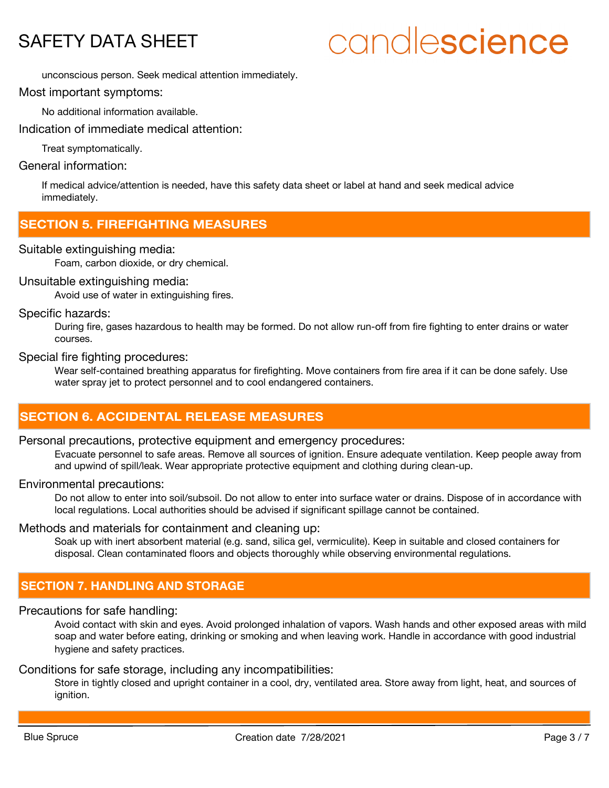# candlescience

unconscious person. Seek medical attention immediately.

Most important symptoms:

No additional information available.

Indication of immediate medical attention:

Treat symptomatically.

# General information:

If medical advice/attention is needed, have this safety data sheet or label at hand and seek medical advice immediately.

# **SECTION 5. FIREFIGHTING MEASURES**

# Suitable extinguishing media:

Foam, carbon dioxide, or dry chemical.

# Unsuitable extinguishing media:

Avoid use of water in extinguishing fires.

# Specific hazards:

During fire, gases hazardous to health may be formed. Do not allow run-off from fire fighting to enter drains or water courses.

## Special fire fighting procedures:

Wear self-contained breathing apparatus for firefighting. Move containers from fire area if it can be done safely. Use water spray jet to protect personnel and to cool endangered containers.

# **SECTION 6. ACCIDENTAL RELEASE MEASURES**

## Personal precautions, protective equipment and emergency procedures:

Evacuate personnel to safe areas. Remove all sources of ignition. Ensure adequate ventilation. Keep people away from and upwind of spill/leak. Wear appropriate protective equipment and clothing during clean-up.

## Environmental precautions:

Do not allow to enter into soil/subsoil. Do not allow to enter into surface water or drains. Dispose of in accordance with local regulations. Local authorities should be advised if significant spillage cannot be contained.

# Methods and materials for containment and cleaning up:

Soak up with inert absorbent material (e.g. sand, silica gel, vermiculite). Keep in suitable and closed containers for disposal. Clean contaminated floors and objects thoroughly while observing environmental regulations.

# **SECTION 7. HANDLING AND STORAGE**

# Precautions for safe handling:

Avoid contact with skin and eyes. Avoid prolonged inhalation of vapors. Wash hands and other exposed areas with mild soap and water before eating, drinking or smoking and when leaving work. Handle in accordance with good industrial hygiene and safety practices.

## Conditions for safe storage, including any incompatibilities:

Store in tightly closed and upright container in a cool, dry, ventilated area. Store away from light, heat, and sources of ignition.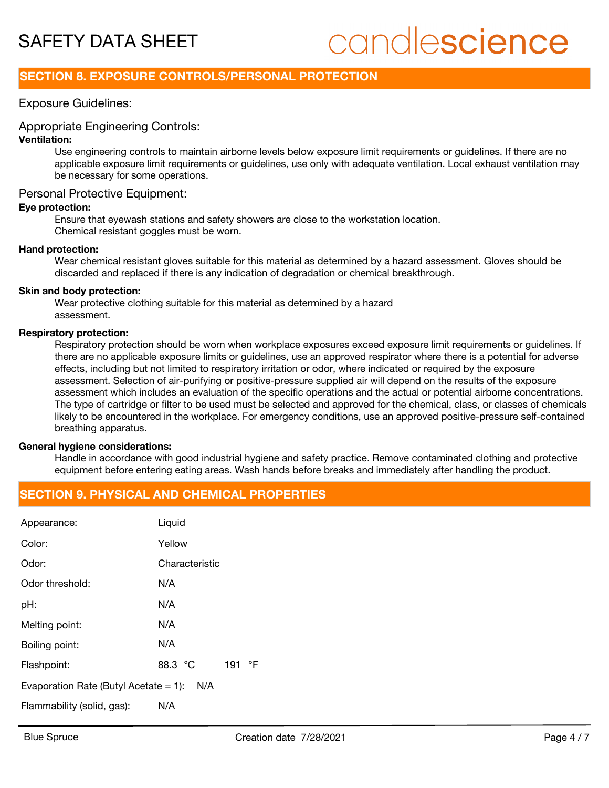# candlescience

# **SECTION 8. EXPOSURE CONTROLS/PERSONAL PROTECTION**

# Exposure Guidelines:

# Appropriate Engineering Controls:

## **Ventilation:**

Use engineering controls to maintain airborne levels below exposure limit requirements or guidelines. If there are no applicable exposure limit requirements or guidelines, use only with adequate ventilation. Local exhaust ventilation may be necessary for some operations.

# Personal Protective Equipment:

## **Eye protection:**

Ensure that eyewash stations and safety showers are close to the workstation location. Chemical resistant goggles must be worn.

## **Hand protection:**

Wear chemical resistant gloves suitable for this material as determined by a hazard assessment. Gloves should be discarded and replaced if there is any indication of degradation or chemical breakthrough.

#### **Skin and body protection:**

Wear protective clothing suitable for this material as determined by a hazard assessment.

#### **Respiratory protection:**

Respiratory protection should be worn when workplace exposures exceed exposure limit requirements or guidelines. If there are no applicable exposure limits or guidelines, use an approved respirator where there is a potential for adverse effects, including but not limited to respiratory irritation or odor, where indicated or required by the exposure assessment. Selection of air-purifying or positive-pressure supplied air will depend on the results of the exposure assessment which includes an evaluation of the specific operations and the actual or potential airborne concentrations. The type of cartridge or filter to be used must be selected and approved for the chemical, class, or classes of chemicals likely to be encountered in the workplace. For emergency conditions, use an approved positive-pressure self-contained breathing apparatus.

## **General hygiene considerations:**

Handle in accordance with good industrial hygiene and safety practice. Remove contaminated clothing and protective equipment before entering eating areas. Wash hands before breaks and immediately after handling the product.

# **SECTION 9. PHYSICAL AND CHEMICAL PROPERTIES**

| Appearance:                                     | Liquid            |  |
|-------------------------------------------------|-------------------|--|
| Color:                                          | Yellow            |  |
| Odor:                                           | Characteristic    |  |
| Odor threshold:                                 | N/A               |  |
| pH:                                             | N/A               |  |
| Melting point:                                  | N/A               |  |
| Boiling point:                                  | N/A               |  |
| Flashpoint:                                     | 88.3 °C<br>191 °F |  |
| Evaporation Rate (Butyl Acetate $= 1$ ):<br>N/A |                   |  |
| Flammability (solid, gas):                      | N/A               |  |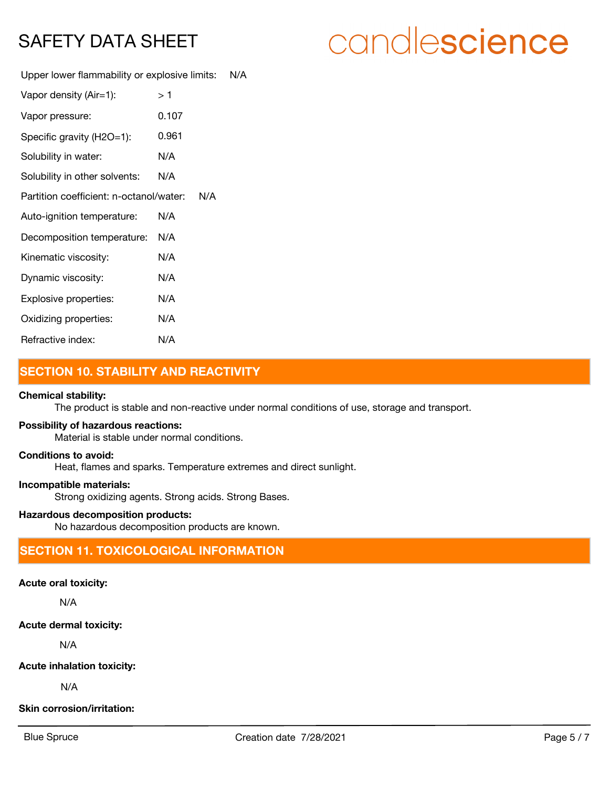# candlescience

Upper lower flammability or explosive limits: N/A

| Vapor density (Air=1):                  | > 1   |     |
|-----------------------------------------|-------|-----|
| Vapor pressure:                         | 0.107 |     |
| Specific gravity (H2O=1):               | 0.961 |     |
| Solubility in water:                    | N/A   |     |
| Solubility in other solvents:           | N/A   |     |
| Partition coefficient: n-octanol/water: |       | N/A |
| Auto-ignition temperature:              | N/A   |     |
| Decomposition temperature:              | N/A   |     |
| Kinematic viscosity:                    | N/A   |     |
| Dynamic viscosity:                      | N/A   |     |
| Explosive properties:                   | N/A   |     |
| Oxidizing properties:                   | N/A   |     |
| Refractive index:                       | N/A   |     |

# **SECTION 10. STABILITY AND REACTIVITY**

# **Chemical stability:**

The product is stable and non-reactive under normal conditions of use, storage and transport.

## **Possibility of hazardous reactions:**

Material is stable under normal conditions.

# **Conditions to avoid:**

Heat, flames and sparks. Temperature extremes and direct sunlight.

#### **Incompatible materials:**

Strong oxidizing agents. Strong acids. Strong Bases.

# **Hazardous decomposition products:**

No hazardous decomposition products are known.

# **SECTION 11. TOXICOLOGICAL INFORMATION**

## **Acute oral toxicity:**

N/A

## **Acute dermal toxicity:**

N/A

## **Acute inhalation toxicity:**

N/A

# **Skin corrosion/irritation:**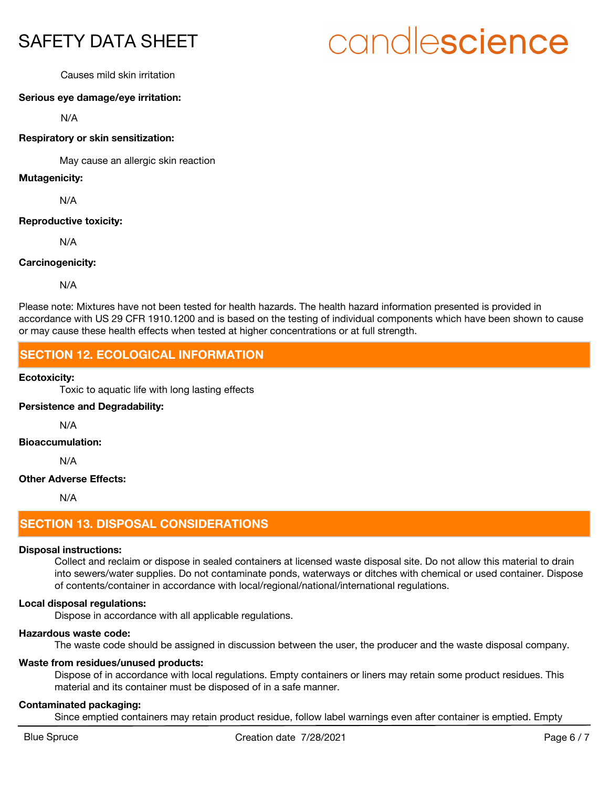# candlescience

Causes mild skin irritation

# **Serious eye damage/eye irritation:**

N/A

# **Respiratory or skin sensitization:**

May cause an allergic skin reaction

#### **Mutagenicity:**

N/A

## **Reproductive toxicity:**

N/A

# **Carcinogenicity:**

N/A

Please note: Mixtures have not been tested for health hazards. The health hazard information presented is provided in accordance with US 29 CFR 1910.1200 and is based on the testing of individual components which have been shown to cause or may cause these health effects when tested at higher concentrations or at full strength.

# **SECTION 12. ECOLOGICAL INFORMATION**

## **Ecotoxicity:**

Toxic to aquatic life with long lasting effects

# **Persistence and Degradability:**

N/A

#### **Bioaccumulation:**

N/A

# **Other Adverse Effects:**

N/A

# **SECTION 13. DISPOSAL CONSIDERATIONS**

## **Disposal instructions:**

Collect and reclaim or dispose in sealed containers at licensed waste disposal site. Do not allow this material to drain into sewers/water supplies. Do not contaminate ponds, waterways or ditches with chemical or used container. Dispose of contents/container in accordance with local/regional/national/international regulations.

# **Local disposal regulations:**

Dispose in accordance with all applicable regulations.

## **Hazardous waste code:**

The waste code should be assigned in discussion between the user, the producer and the waste disposal company.

# **Waste from residues/unused products:**

Dispose of in accordance with local regulations. Empty containers or liners may retain some product residues. This material and its container must be disposed of in a safe manner.

## **Contaminated packaging:**

Since emptied containers may retain product residue, follow label warnings even after container is emptied. Empty